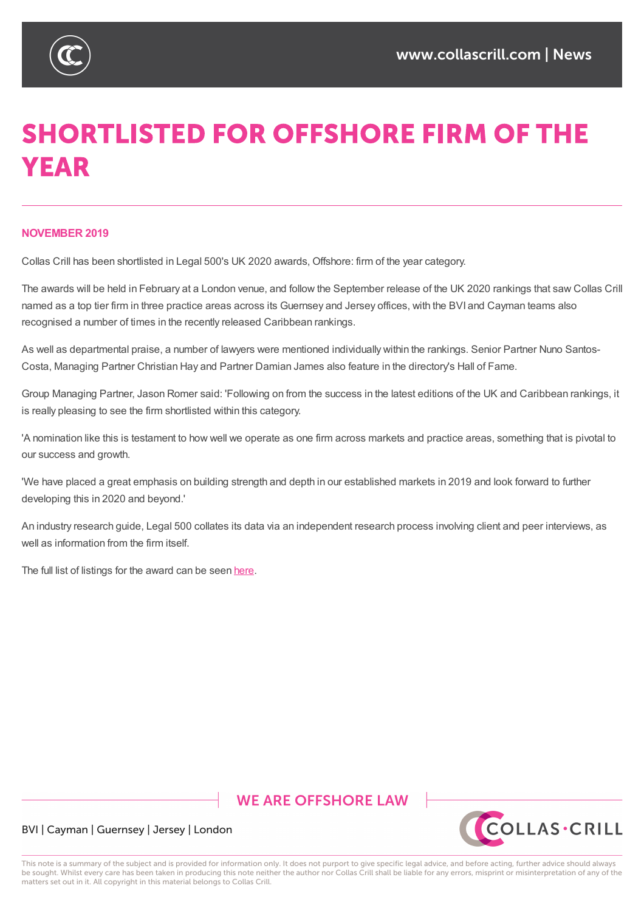

# **SHORTLISTED FOR OFFSHORE FIRM OF THE YEAR**

#### **NOVEMBER 2019**

Collas Crill has been shortlisted in Legal 500's UK 2020 awards, Offshore: firm of the year category.

The awards will be held in February at a London venue, and follow the September release of the UK 2020 rankings that saw Collas Crill named as a top tier firm in three practice areas across its Guernsey and Jersey offices, with the BVI and Cayman teams also recognised a number of times in the recently released Caribbean rankings.

As well as departmental praise, a number of lawyers were mentioned individually within the rankings. Senior Partner Nuno Santos-Costa, Managing Partner Christian Hay and Partner Damian James also feature in the directory's Hall of Fame.

Group Managing Partner, Jason Romer said: 'Following on from the success in the latest editions of the UK and Caribbean rankings, it is really pleasing to see the firm shortlisted within this category.

'A nomination like this is testament to how well we operate as one firm across markets and practice areas, something that is pivotal to our success and growth.

'We have placed a great emphasis on building strength and depth in our established markets in 2019 and look forward to further developing this in 2020 and beyond.'

An industry research guide, Legal 500 collates its data via an independent research process involving client and peer interviews, as well as information from the firm itself.

The full list of listings for the award can be seen here.

# **WE ARE OFFSHORE LAW**



#### BVI | Cayman | Guernsey | Jersey | London

This note is a summary of the subject and is provided for information only. It does not purport to give specific legal advice, and before acting, further advice should always be sought. Whilst every care has been taken in producing this note neither the author nor Collas Crill shall be liable for any errors, misprint or misinterpretation of any of the matters set out in it. All copyright in this material belongs to Collas Crill.